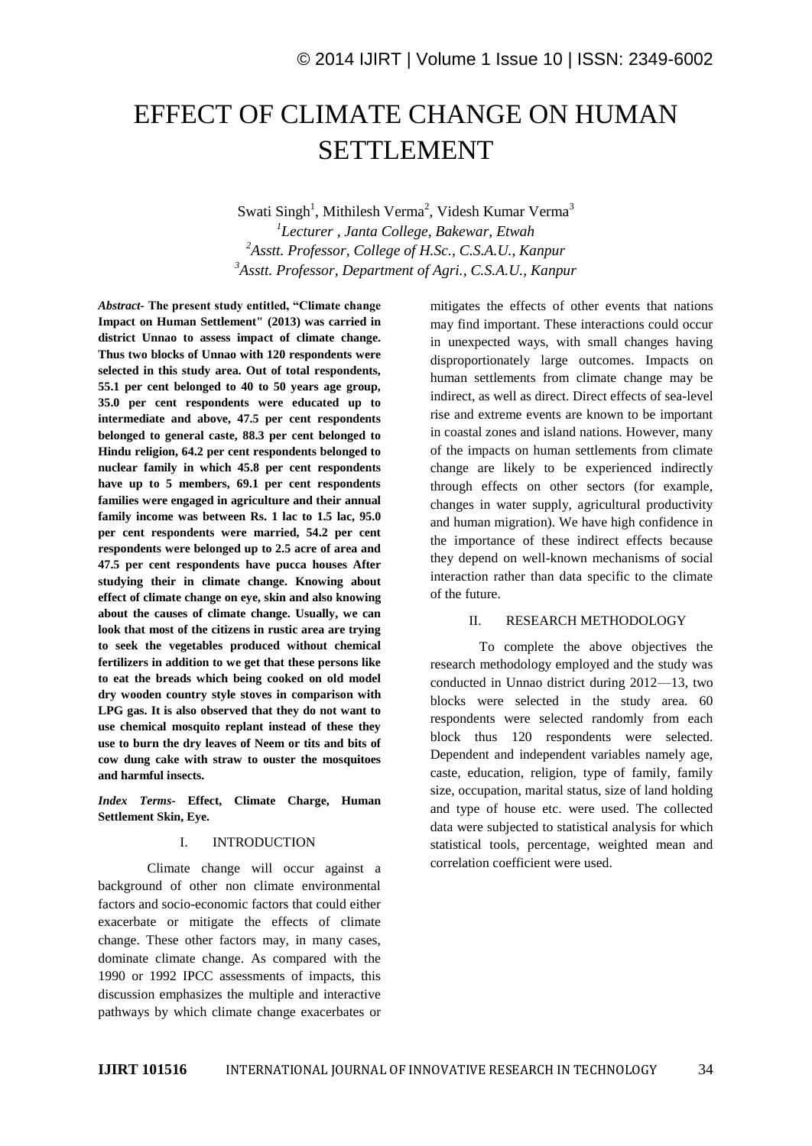# EFFECT OF CLIMATE CHANGE ON HUMAN SETTLEMENT

Swati Singh<sup>1</sup>, Mithilesh Verma<sup>2</sup>, Videsh Kumar Verma<sup>3</sup> *Lecturer , Janta College, Bakewar, Etwah Asstt. Professor, College of H.Sc., C.S.A.U., Kanpur Asstt. Professor, Department of Agri., C.S.A.U., Kanpur*

*Abstract-* **The present study entitled, "Climate change Impact on Human Settlement" (2013) was carried in district Unnao to assess impact of climate change. Thus two blocks of Unnao with 120 respondents were selected in this study area. Out of total respondents, 55.1 per cent belonged to 40 to 50 years age group, 35.0 per cent respondents were educated up to intermediate and above, 47.5 per cent respondents belonged to general caste, 88.3 per cent belonged to Hindu religion, 64.2 per cent respondents belonged to nuclear family in which 45.8 per cent respondents have up to 5 members, 69.1 per cent respondents families were engaged in agriculture and their annual family income was between Rs. 1 lac to 1.5 lac, 95.0 per cent respondents were married, 54.2 per cent respondents were belonged up to 2.5 acre of area and 47.5 per cent respondents have pucca houses After studying their in climate change. Knowing about effect of climate change on eye, skin and also knowing about the causes of climate change. Usually, we can look that most of the citizens in rustic area are trying to seek the vegetables produced without chemical fertilizers in addition to we get that these persons like to eat the breads which being cooked on old model dry wooden country style stoves in comparison with LPG gas. It is also observed that they do not want to use chemical mosquito replant instead of these they use to burn the dry leaves of Neem or tits and bits of cow dung cake with straw to ouster the mosquitoes and harmful insects.**

*Index Terms-* **Effect, Climate Charge, Human Settlement Skin, Eye.**

## I. INTRODUCTION

Climate change will occur against a background of other non climate environmental factors and socio-economic factors that could either exacerbate or mitigate the effects of climate change. These other factors may, in many cases, dominate climate change. As compared with the 1990 or 1992 IPCC assessments of impacts, this discussion emphasizes the multiple and interactive pathways by which climate change exacerbates or mitigates the effects of other events that nations may find important. These interactions could occur in unexpected ways, with small changes having disproportionately large outcomes. Impacts on human settlements from climate change may be indirect, as well as direct. Direct effects of sea-level rise and extreme events are known to be important in coastal zones and island nations. However, many of the impacts on human settlements from climate change are likely to be experienced indirectly through effects on other sectors (for example, changes in water supply, agricultural productivity and human migration). We have high confidence in the importance of these indirect effects because they depend on well-known mechanisms of social interaction rather than data specific to the climate of the future.

#### II. RESEARCH METHODOLOGY

To complete the above objectives the research methodology employed and the study was conducted in Unnao district during 2012—13, two blocks were selected in the study area. 60 respondents were selected randomly from each block thus 120 respondents were selected. Dependent and independent variables namely age, caste, education, religion, type of family, family size, occupation, marital status, size of land holding and type of house etc. were used. The collected data were subjected to statistical analysis for which statistical tools, percentage, weighted mean and correlation coefficient were used.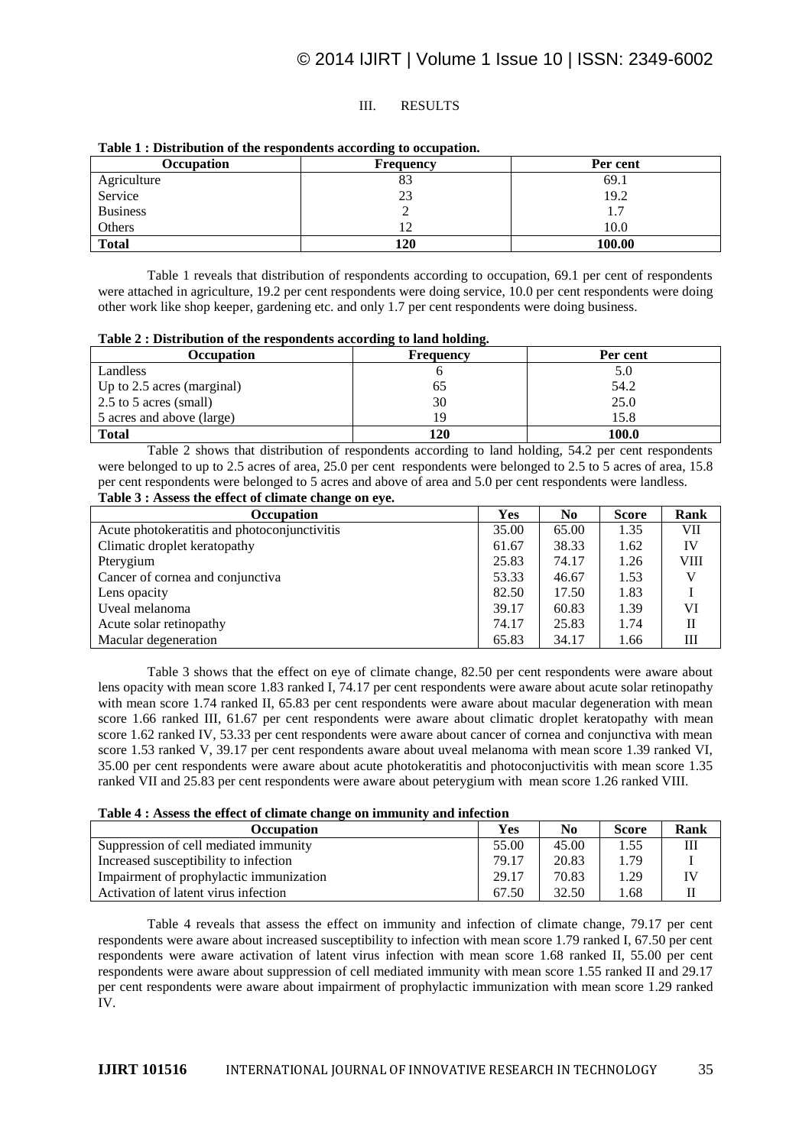# III. RESULTS

| Occupation      | Frequency | Per cent |
|-----------------|-----------|----------|
| Agriculture     | OJ.       | 69.1     |
| Service         | 23        | 19.2     |
| <b>Business</b> |           | 1.7      |
| Others          |           | 10.0     |
| <b>Total</b>    | 120       | 100.00   |

#### **Table 1 : Distribution of the respondents according to occupation.**

Table 1 reveals that distribution of respondents according to occupation, 69.1 per cent of respondents were attached in agriculture, 19.2 per cent respondents were doing service, 10.0 per cent respondents were doing other work like shop keeper, gardening etc. and only 1.7 per cent respondents were doing business.

#### **Table 2 : Distribution of the respondents according to land holding.**

| Occupation                   | <b>Frequency</b> | Per cent |
|------------------------------|------------------|----------|
| Landless                     |                  | 5.0      |
| Up to $2.5$ acres (marginal) | ნა               | 54.2     |
| 2.5 to 5 acres (small)       | 30               | 25.0     |
| 5 acres and above (large)    | ١Q               | 15.8     |
| <b>Total</b>                 | 120              | 100.0    |

Table 2 shows that distribution of respondents according to land holding, 54.2 per cent respondents were belonged to up to 2.5 acres of area, 25.0 per cent respondents were belonged to 2.5 to 5 acres of area, 15.8 per cent respondents were belonged to 5 acres and above of area and 5.0 per cent respondents were landless. **Table 3 : Assess the effect of climate change on eye.**

| $\bullet$<br><b>Occupation</b>               | <b>Yes</b> | N <sub>0</sub> | <b>Score</b> | Rank        |
|----------------------------------------------|------------|----------------|--------------|-------------|
| Acute photokeratitis and photoconjunctivitis | 35.00      | 65.00          | 1.35         | VII         |
| Climatic droplet keratopathy                 | 61.67      | 38.33          | 1.62         | IV          |
| Pterygium                                    | 25.83      | 74.17          | 1.26         | <b>VIII</b> |
| Cancer of cornea and conjunctiva             | 53.33      | 46.67          | 1.53         | V           |
| Lens opacity                                 | 82.50      | 17.50          | 1.83         |             |
| Uveal melanoma                               | 39.17      | 60.83          | 1.39         | VI          |
| Acute solar retinopathy                      | 74.17      | 25.83          | 1.74         | П           |
| Macular degeneration                         | 65.83      | 34.17          | 1.66         | Ш           |

Table 3 shows that the effect on eye of climate change, 82.50 per cent respondents were aware about lens opacity with mean score 1.83 ranked I, 74.17 per cent respondents were aware about acute solar retinopathy with mean score 1.74 ranked II, 65.83 per cent respondents were aware about macular degeneration with mean score 1.66 ranked III, 61.67 per cent respondents were aware about climatic droplet keratopathy with mean score 1.62 ranked IV, 53.33 per cent respondents were aware about cancer of cornea and conjunctiva with mean score 1.53 ranked V, 39.17 per cent respondents aware about uveal melanoma with mean score 1.39 ranked VI, 35.00 per cent respondents were aware about acute photokeratitis and photoconjuctivitis with mean score 1.35 ranked VII and 25.83 per cent respondents were aware about peterygium with mean score 1.26 ranked VIII.

#### **Table 4 : Assess the effect of climate change on immunity and infection**

| Occupation                              | Yes   | No    | <b>Score</b> | Rank |
|-----------------------------------------|-------|-------|--------------|------|
| Suppression of cell mediated immunity   | 55.00 | 45.00 | 1.55         | Ш    |
| Increased susceptibility to infection   | 79.17 | 20.83 | 1.79         |      |
| Impairment of prophylactic immunization | 29.17 | 70.83 | 1.29         |      |
| Activation of latent virus infection    | 67.50 | 32.50 | 1.68         |      |

Table 4 reveals that assess the effect on immunity and infection of climate change, 79.17 per cent respondents were aware about increased susceptibility to infection with mean score 1.79 ranked I, 67.50 per cent respondents were aware activation of latent virus infection with mean score 1.68 ranked II, 55.00 per cent respondents were aware about suppression of cell mediated immunity with mean score 1.55 ranked II and 29.17 per cent respondents were aware about impairment of prophylactic immunization with mean score 1.29 ranked IV.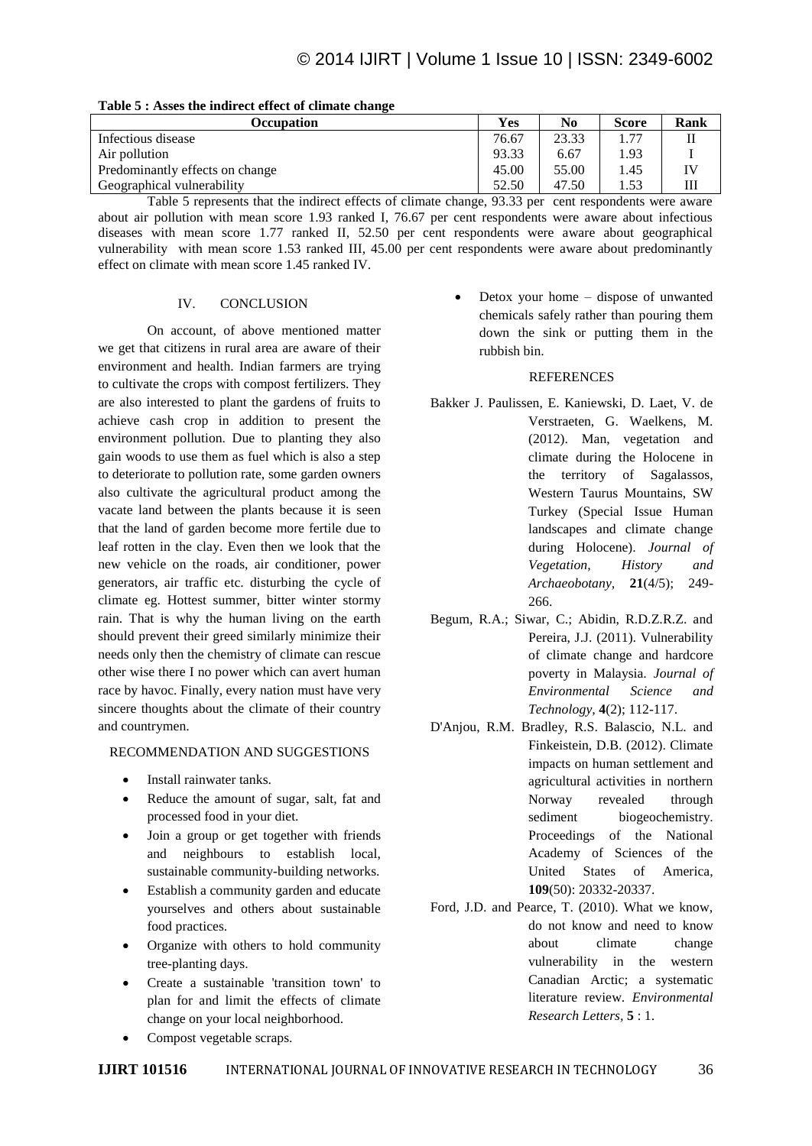| Table 5 , Asses the multeet effect of chinate change |                      |       |              |      |
|------------------------------------------------------|----------------------|-------|--------------|------|
| Occupation                                           | <b>Yes</b>           | No    | <b>Score</b> | Rank |
| Infectious disease                                   | 76.67                | 23.33 | 1.77         |      |
| Air pollution                                        | 93.33                | 6.67  | 1.93         |      |
| Predominantly effects on change                      | 45.00                | 55.00 | 1.45         |      |
| Geographical vulnerability                           | 52.50                | 47.50 | 1.53         |      |
| $-11$<br>$\sim$ 00 0 0 11 $\sim$ 1                   | $\sim$ $\sim$ $\sim$ |       |              |      |

| Table 5 : Asses the indirect effect of climate change |
|-------------------------------------------------------|
|-------------------------------------------------------|

Table 5 represents that the indirect effects of climate change, 93.33 per cent respondents were aware about air pollution with mean score 1.93 ranked I, 76.67 per cent respondents were aware about infectious diseases with mean score 1.77 ranked II, 52.50 per cent respondents were aware about geographical vulnerability with mean score 1.53 ranked III, 45.00 per cent respondents were aware about predominantly effect on climate with mean score 1.45 ranked IV.

## IV. CONCLUSION

On account, of above mentioned matter we get that citizens in rural area are aware of their environment and health. Indian farmers are trying to cultivate the crops with compost fertilizers. They are also interested to plant the gardens of fruits to achieve cash crop in addition to present the environment pollution. Due to planting they also gain woods to use them as fuel which is also a step to deteriorate to pollution rate, some garden owners also cultivate the agricultural product among the vacate land between the plants because it is seen that the land of garden become more fertile due to leaf rotten in the clay. Even then we look that the new vehicle on the roads, air conditioner, power generators, air traffic etc. disturbing the cycle of climate eg. Hottest summer, bitter winter stormy rain. That is why the human living on the earth should prevent their greed similarly minimize their needs only then the chemistry of climate can rescue other wise there I no power which can avert human race by havoc. Finally, every nation must have very sincere thoughts about the climate of their country and countrymen.

# RECOMMENDATION AND SUGGESTIONS

- Install rainwater tanks.
- Reduce the amount of sugar, salt, fat and processed food in your diet.
- Join a group or get together with friends and neighbours to establish local, sustainable community-building networks.
- Establish a community garden and educate yourselves and others about sustainable food practices.
- Organize with others to hold community tree-planting days.
- Create a sustainable 'transition town' to plan for and limit the effects of climate change on your local neighborhood.
- Compost vegetable scraps.

• Detox your home – dispose of unwanted chemicals safely rather than pouring them down the sink or putting them in the rubbish bin.

## **REFERENCES**

- Bakker J. Paulissen, E. Kaniewski, D. Laet, V. de Verstraeten, G. Waelkens, M. (2012). Man, vegetation and climate during the Holocene in the territory of Sagalassos, Western Taurus Mountains, SW Turkey (Special Issue Human landscapes and climate change during Holocene). *Journal of Vegetation, History and Archaeobotany,* **21**(4/5); 249- 266.
- Begum, R.A.; Siwar, C.; Abidin, R.D.Z.R.Z. and Pereira, J.J. (2011). Vulnerability of climate change and hardcore poverty in Malaysia. *Journal of Environmental Science and Technology,* **4**(2); 112-117.
- D'Anjou, R.M. Bradley, R.S. Balascio, N.L. and Finkeistein, D.B. (2012). Climate impacts on human settlement and agricultural activities in northern Norway revealed through sediment biogeochemistry. Proceedings of the National Academy of Sciences of the United States of America, **109**(50): 20332-20337.
- Ford, J.D. and Pearce, T. (2010). What we know, do not know and need to know about climate change vulnerability in the western Canadian Arctic; a systematic literature review. *Environmental Research Letters,* **5** : 1.